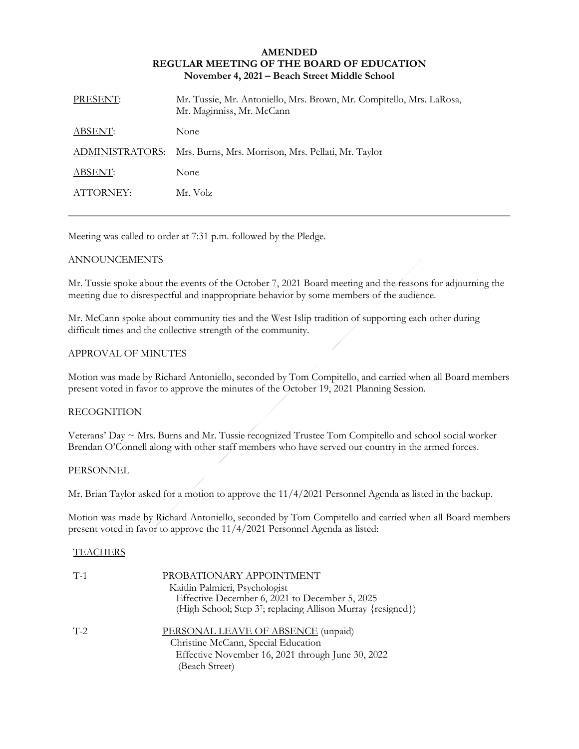### **AMENDED REGULAR MEETING OF THE BOARD OF EDUCATION November 4, 2021 – Beach Street Middle School**

| PRESENT:        | Mr. Tussie, Mr. Antoniello, Mrs. Brown, Mr. Compitello, Mrs. LaRosa,<br>Mr. Maginniss, Mr. McCann |
|-----------------|---------------------------------------------------------------------------------------------------|
| ABSENT:         | None                                                                                              |
| ADMINISTRATORS: | Mrs. Burns, Mrs. Morrison, Mrs. Pellati, Mr. Taylor                                               |
| ABSENT:         | None                                                                                              |
| ATTORNEY:       | Mr. Volz                                                                                          |

Meeting was called to order at 7:31 p.m. followed by the Pledge.

# ANNOUNCEMENTS

Mr. Tussie spoke about the events of the October 7, 2021 Board meeting and the reasons for adjourning the meeting due to disrespectful and inappropriate behavior by some members of the audience.

Mr. McCann spoke about community ties and the West Islip tradition of supporting each other during difficult times and the collective strength of the community.

# APPROVAL OF MINUTES

Motion was made by Richard Antoniello, seconded by Tom Compitello, and carried when all Board members present voted in favor to approve the minutes of the October 19, 2021 Planning Session.

# RECOGNITION

Veterans' Day ~ Mrs. Burns and Mr. Tussie recognized Trustee Tom Compitello and school social worker Brendan O'Connell along with other staff members who have served our country in the armed forces.

### **PERSONNEL**

Mr. Brian Taylor asked for a motion to approve the 11/4/2021 Personnel Agenda as listed in the backup.

Motion was made by Richard Antoniello, seconded by Tom Compitello and carried when all Board members present voted in favor to approve the 11/4/2021 Personnel Agenda as listed:

### **TEACHERS**

| $T-1$ | PROBATIONARY APPOINTMENT<br>Kaitlin Palmieri, Psychologist<br>Effective December 6, 2021 to December 5, 2025<br>(High School; Step 37; replacing Allison Murray {resigned}) |
|-------|-----------------------------------------------------------------------------------------------------------------------------------------------------------------------------|
| $T-2$ | PERSONAL LEAVE OF ABSENCE (unpaid)<br>Christine McCann, Special Education<br>Effective November 16, 2021 through June 30, 2022<br>(Beach Street)                            |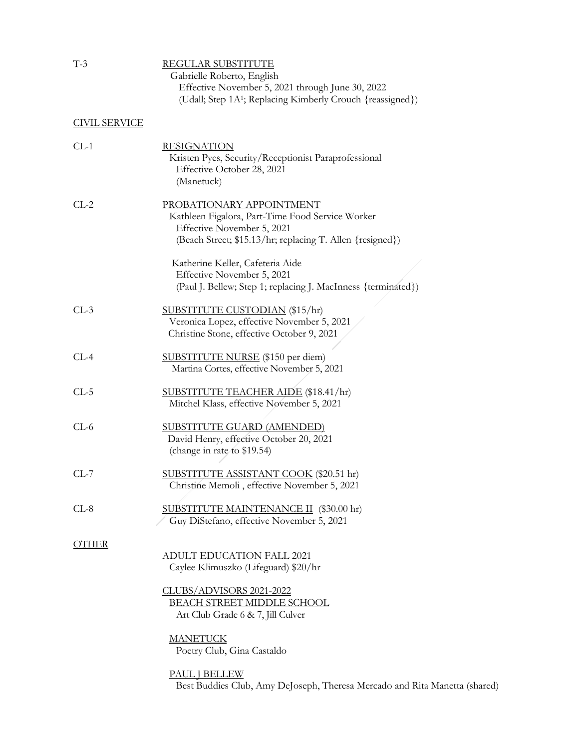| $T-3$                | <b>REGULAR SUBSTITUTE</b><br>Gabrielle Roberto, English<br>Effective November 5, 2021 through June 30, 2022<br>(Udall; Step 1A <sup>1</sup> ; Replacing Kimberly Crouch {reassigned})                       |
|----------------------|-------------------------------------------------------------------------------------------------------------------------------------------------------------------------------------------------------------|
| <b>CIVIL SERVICE</b> |                                                                                                                                                                                                             |
| $CL-1$               | <u>RESIGNATION</u><br>Kristen Pyes, Security/Receptionist Paraprofessional<br>Effective October 28, 2021<br>(Manetuck)                                                                                      |
| $CL-2$               | PROBATIONARY APPOINTMENT<br>Kathleen Figalora, Part-Time Food Service Worker<br>Effective November 5, 2021<br>(Beach Street; \$15.13/hr; replacing T. Allen {resigned})<br>Katherine Keller, Cafeteria Aide |
|                      | Effective November 5, 2021<br>(Paul J. Bellew; Step 1; replacing J. MacInness {terminated})                                                                                                                 |
| $CL-3$               | SUBSTITUTE CUSTODIAN (\$15/hr)<br>Veronica Lopez, effective November 5, 2021<br>Christine Stone, effective October 9, 2021                                                                                  |
| $CL-4$               | SUBSTITUTE NURSE (\$150 per diem)<br>Martina Cortes, effective November 5, 2021                                                                                                                             |
| $CL-5$               | <b>SUBSTITUTE TEACHER AIDE (\$18.41/hr)</b><br>Mitchel Klass, effective November 5, 2021                                                                                                                    |
| $CL-6$               | <b>SUBSTITUTE GUARD (AMENDED)</b><br>David Henry, effective October 20, 2021<br>(change in rate to \$19.54)                                                                                                 |
| $CL-7$               | <u>SUBSTITUTE ASSISTANT COOK</u> (\$20.51 hr)<br>Christine Memoli, effective November 5, 2021                                                                                                               |
| $CL-8$               | SUBSTITUTE MAINTENANCE II (\$30.00 hr)<br>Guy DiStefano, effective November 5, 2021                                                                                                                         |
| <b>OTHER</b>         | <b>ADULT EDUCATION FALL 2021</b><br>Caylee Klimuszko (Lifeguard) \$20/hr                                                                                                                                    |
|                      | CLUBS/ADVISORS 2021-2022<br><b>BEACH STREET MIDDLE SCHOOL</b><br>Art Club Grade 6 & 7, Jill Culver                                                                                                          |
|                      | <b>MANETUCK</b><br>Poetry Club, Gina Castaldo                                                                                                                                                               |

PAUL J BELLEW

Best Buddies Club, Amy DeJoseph, Theresa Mercado and Rita Manetta (shared)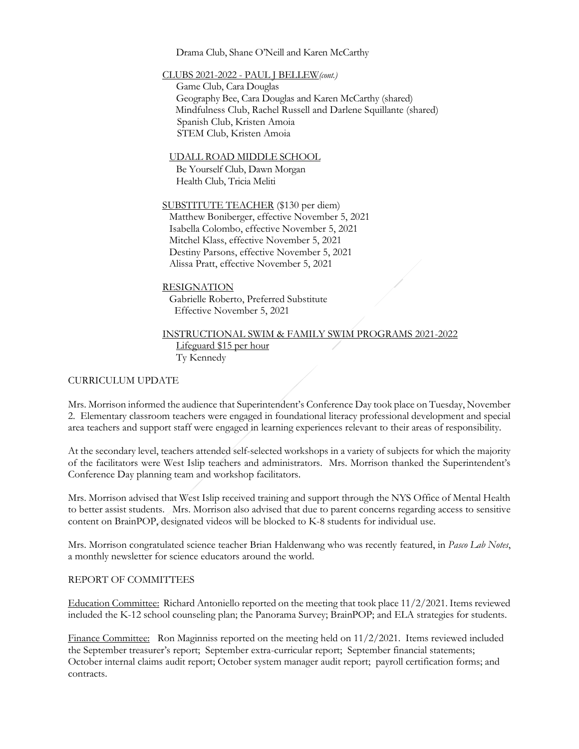Drama Club, Shane O'Neill and Karen McCarthy

CLUBS 2021-2022 - PAUL J BELLEW*(cont.)*

Game Club, Cara Douglas Geography Bee, Cara Douglas and Karen McCarthy (shared) Mindfulness Club, Rachel Russell and Darlene Squillante (shared) Spanish Club, Kristen Amoia STEM Club, Kristen Amoia

UDALL ROAD MIDDLE SCHOOL Be Yourself Club, Dawn Morgan

Health Club, Tricia Meliti

SUBSTITUTE TEACHER (\$130 per diem) Matthew Boniberger, effective November 5, 2021 Isabella Colombo, effective November 5, 2021 Mitchel Klass, effective November 5, 2021 Destiny Parsons, effective November 5, 2021 Alissa Pratt, effective November 5, 2021

# RESIGNATION Gabrielle Roberto, Preferred Substitute Effective November 5, 2021

INSTRUCTIONAL SWIM & FAMILY SWIM PROGRAMS 2021-2022 Lifeguard \$15 per hour Ty Kennedy

# CURRICULUM UPDATE

Mrs. Morrison informed the audience that Superintendent's Conference Day took place on Tuesday, November 2. Elementary classroom teachers were engaged in foundational literacy professional development and special area teachers and support staff were engaged in learning experiences relevant to their areas of responsibility.

At the secondary level, teachers attended self-selected workshops in a variety of subjects for which the majority of the facilitators were West Islip teachers and administrators. Mrs. Morrison thanked the Superintendent's Conference Day planning team and workshop facilitators.

Mrs. Morrison advised that West Islip received training and support through the NYS Office of Mental Health to better assist students. Mrs. Morrison also advised that due to parent concerns regarding access to sensitive content on BrainPOP, designated videos will be blocked to K-8 students for individual use.

Mrs. Morrison congratulated science teacher Brian Haldenwang who was recently featured, in *Pasco Lab Notes*, a monthly newsletter for science educators around the world.

# REPORT OF COMMITTEES

Education Committee: Richard Antoniello reported on the meeting that took place 11/2/2021. Items reviewed included the K-12 school counseling plan; the Panorama Survey; BrainPOP; and ELA strategies for students.

Finance Committee: Ron Maginniss reported on the meeting held on 11/2/2021. Items reviewed included the September treasurer's report; September extra-curricular report; September financial statements; October internal claims audit report; October system manager audit report; payroll certification forms; and contracts.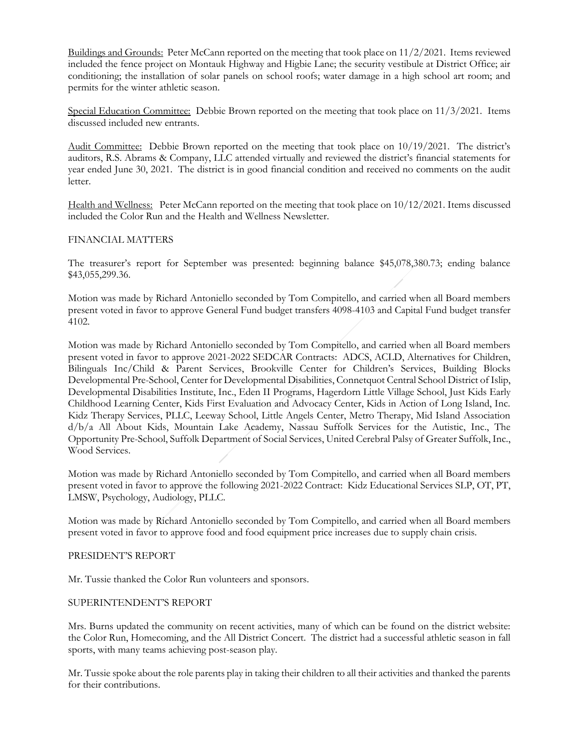Buildings and Grounds: Peter McCann reported on the meeting that took place on 11/2/2021. Items reviewed included the fence project on Montauk Highway and Higbie Lane; the security vestibule at District Office; air conditioning; the installation of solar panels on school roofs; water damage in a high school art room; and permits for the winter athletic season.

Special Education Committee: Debbie Brown reported on the meeting that took place on 11/3/2021. Items discussed included new entrants.

Audit Committee: Debbie Brown reported on the meeting that took place on 10/19/2021. The district's auditors, R.S. Abrams & Company, LLC attended virtually and reviewed the district's financial statements for year ended June 30, 2021. The district is in good financial condition and received no comments on the audit letter.

Health and Wellness: Peter McCann reported on the meeting that took place on 10/12/2021. Items discussed included the Color Run and the Health and Wellness Newsletter.

### FINANCIAL MATTERS

The treasurer's report for September was presented: beginning balance \$45,078,380.73; ending balance \$43,055,299.36.

Motion was made by Richard Antoniello seconded by Tom Compitello, and carried when all Board members present voted in favor to approve General Fund budget transfers 4098-4103 and Capital Fund budget transfer 4102.

Motion was made by Richard Antoniello seconded by Tom Compitello, and carried when all Board members present voted in favor to approve 2021-2022 SEDCAR Contracts: ADCS, ACLD, Alternatives for Children, Bilinguals Inc/Child & Parent Services, Brookville Center for Children's Services, Building Blocks Developmental Pre-School, Center for Developmental Disabilities, Connetquot Central School District of Islip, Developmental Disabilities Institute, Inc., Eden II Programs, Hagerdorn Little Village School, Just Kids Early Childhood Learning Center, Kids First Evaluation and Advocacy Center, Kids in Action of Long Island, Inc. Kidz Therapy Services, PLLC, Leeway School, Little Angels Center, Metro Therapy, Mid Island Association d/b/a All About Kids, Mountain Lake Academy, Nassau Suffolk Services for the Autistic, Inc., The Opportunity Pre-School, Suffolk Department of Social Services, United Cerebral Palsy of Greater Suffolk, Inc., Wood Services.

Motion was made by Richard Antoniello seconded by Tom Compitello, and carried when all Board members present voted in favor to approve the following 2021-2022 Contract: Kidz Educational Services SLP, OT, PT, LMSW, Psychology, Audiology, PLLC.

Motion was made by Richard Antoniello seconded by Tom Compitello, and carried when all Board members present voted in favor to approve food and food equipment price increases due to supply chain crisis.

### PRESIDENT'S REPORT

Mr. Tussie thanked the Color Run volunteers and sponsors.

### SUPERINTENDENT'S REPORT

Mrs. Burns updated the community on recent activities, many of which can be found on the district website: the Color Run, Homecoming, and the All District Concert. The district had a successful athletic season in fall sports, with many teams achieving post-season play.

Mr. Tussie spoke about the role parents play in taking their children to all their activities and thanked the parents for their contributions.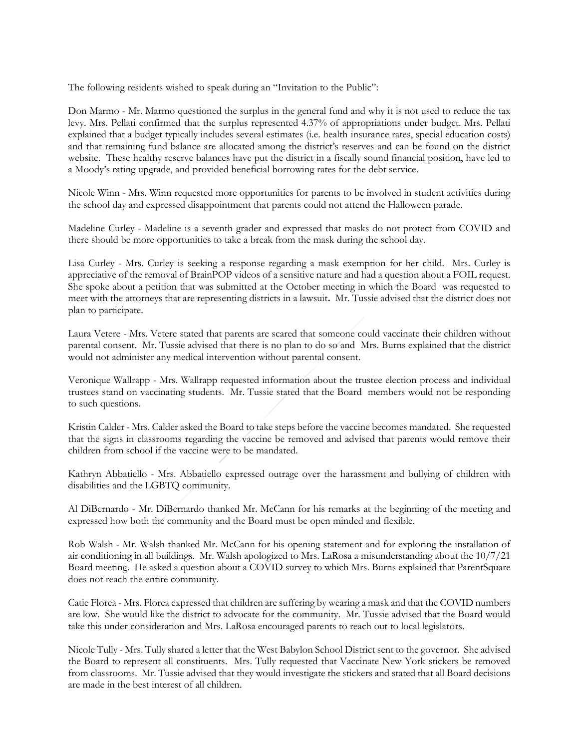The following residents wished to speak during an "Invitation to the Public":

Don Marmo - Mr. Marmo questioned the surplus in the general fund and why it is not used to reduce the tax levy. Mrs. Pellati confirmed that the surplus represented 4.37% of appropriations under budget. Mrs. Pellati explained that a budget typically includes several estimates (i.e. health insurance rates, special education costs) and that remaining fund balance are allocated among the district's reserves and can be found on the district website. These healthy reserve balances have put the district in a fiscally sound financial position, have led to a Moody's rating upgrade, and provided beneficial borrowing rates for the debt service.

Nicole Winn - Mrs. Winn requested more opportunities for parents to be involved in student activities during the school day and expressed disappointment that parents could not attend the Halloween parade.

Madeline Curley - Madeline is a seventh grader and expressed that masks do not protect from COVID and there should be more opportunities to take a break from the mask during the school day.

Lisa Curley - Mrs. Curley is seeking a response regarding a mask exemption for her child. Mrs. Curley is appreciative of the removal of BrainPOP videos of a sensitive nature and had a question about a FOIL request. She spoke about a petition that was submitted at the October meeting in which the Board was requested to meet with the attorneys that are representing districts in a lawsuit**.** Mr. Tussie advised that the district does not plan to participate.

Laura Vetere - Mrs. Vetere stated that parents are scared that someone could vaccinate their children without parental consent. Mr. Tussie advised that there is no plan to do so and Mrs. Burns explained that the district would not administer any medical intervention without parental consent.

Veronique Wallrapp - Mrs. Wallrapp requested information about the trustee election process and individual trustees stand on vaccinating students. Mr. Tussie stated that the Board members would not be responding to such questions.

Kristin Calder - Mrs. Calder asked the Board to take steps before the vaccine becomes mandated. She requested that the signs in classrooms regarding the vaccine be removed and advised that parents would remove their children from school if the vaccine were to be mandated.

Kathryn Abbatiello - Mrs. Abbatiello expressed outrage over the harassment and bullying of children with disabilities and the LGBTQ community.

Al DiBernardo - Mr. DiBernardo thanked Mr. McCann for his remarks at the beginning of the meeting and expressed how both the community and the Board must be open minded and flexible.

Rob Walsh - Mr. Walsh thanked Mr. McCann for his opening statement and for exploring the installation of air conditioning in all buildings. Mr. Walsh apologized to Mrs. LaRosa a misunderstanding about the 10/7/21 Board meeting. He asked a question about a COVID survey to which Mrs. Burns explained that ParentSquare does not reach the entire community.

Catie Florea - Mrs. Florea expressed that children are suffering by wearing a mask and that the COVID numbers are low. She would like the district to advocate for the community. Mr. Tussie advised that the Board would take this under consideration and Mrs. LaRosa encouraged parents to reach out to local legislators.

Nicole Tully - Mrs. Tully shared a letter that the West Babylon School District sent to the governor. She advised the Board to represent all constituents. Mrs. Tully requested that Vaccinate New York stickers be removed from classrooms. Mr. Tussie advised that they would investigate the stickers and stated that all Board decisions are made in the best interest of all children.